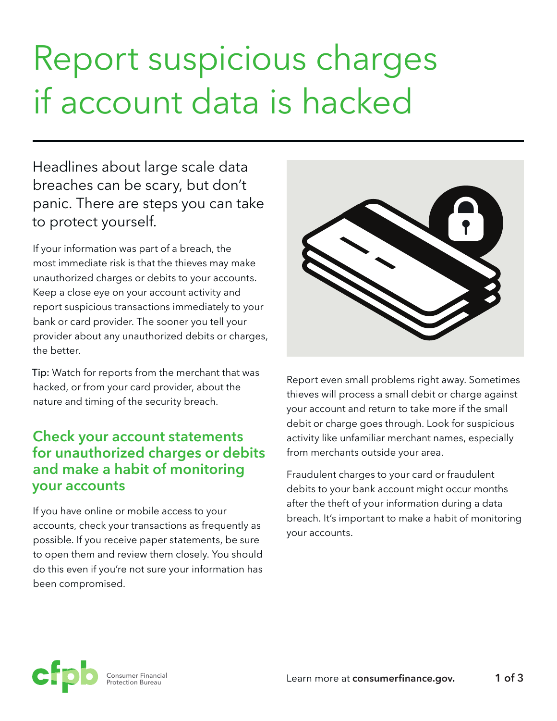# Report suspicious charges if account data is hacked

Headlines about large scale data breaches can be scary, but don't panic. There are steps you can take to protect yourself.

If your information was part of a breach, the most immediate risk is that the thieves may make unauthorized charges or debits to your accounts. Keep a close eye on your account activity and report suspicious transactions immediately to your bank or card provider. The sooner you tell your provider about any unauthorized debits or charges, the better.

Tip: Watch for reports from the merchant that was hacked, or from your card provider, about the nature and timing of the security breach.

## **Check your account statements for unauthorized charges or debits and make a habit of monitoring your accounts**

If you have online or mobile access to your accounts, check your transactions as frequently as possible. If you receive paper statements, be sure to open them and review them closely. You should do this even if you're not sure your information has been compromised.

| $\sqrt{2}$<br>$\hat{\mathscr{C}}$<br>3 |
|----------------------------------------|
|----------------------------------------|

Report even small problems right away. Sometimes thieves will process a small debit or charge against your account and return to take more if the small debit or charge goes through. Look for suspicious activity like unfamiliar merchant names, especially from merchants outside your area.

Fraudulent charges to your card or fraudulent debits to your bank account might occur months after the theft of your information during a data breach. It's important to make a habit of monitoring your accounts.

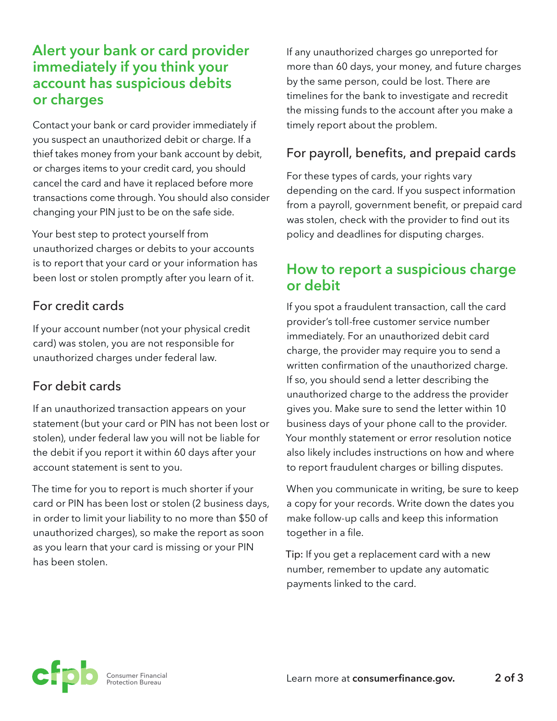# **Alert your bank or card provider immediately if you think your account has suspicious debits or charges**

Contact your bank or card provider immediately if you suspect an unauthorized debit or charge. If a thief takes money from your bank account by debit, or charges items to your credit card, you should cancel the card and have it replaced before more transactions come through. You should also consider changing your PIN just to be on the safe side.

Your best step to protect yourself from unauthorized charges or debits to your accounts is to report that your card or your information has been lost or stolen promptly after you learn of it.

### For credit cards

If your account number (not your physical credit card) was stolen, you are not responsible for unauthorized charges under federal law.

## For debit cards

If an unauthorized transaction appears on your statement (but your card or PIN has not been lost or stolen), under federal law you will not be liable for the debit if you report it within 60 days after your account statement is sent to you.

The time for you to report is much shorter if your card or PIN has been lost or stolen (2 business days, in order to limit your liability to no more than \$50 of unauthorized charges), so make the report as soon as you learn that your card is missing or your PIN has been stolen.

If any unauthorized charges go unreported for more than 60 days, your money, and future charges by the same person, could be lost. There are timelines for the bank to investigate and recredit the missing funds to the account after you make a timely report about the problem.

#### For payroll, benefits, and prepaid cards

For these types of cards, your rights vary depending on the card. If you suspect information from a payroll, government benefit, or prepaid card was stolen, check with the provider to find out its policy and deadlines for disputing charges.

# **How to report a suspicious charge or debit**

If you spot a fraudulent transaction, call the card provider's toll-free customer service number immediately. For an unauthorized debit card charge, the provider may require you to send a written confirmation of the unauthorized charge. If so, you should send a letter describing the unauthorized charge to the address the provider gives you. Make sure to send the letter within 10 business days of your phone call to the provider. Your monthly statement or error resolution notice also likely includes instructions on how and where to report fraudulent charges or billing disputes.

When you communicate in writing, be sure to keep a copy for your records. Write down the dates you make follow-up calls and keep this information together in a file.

Tip: If you get a replacement card with a new number, remember to update any automatic payments linked to the card.